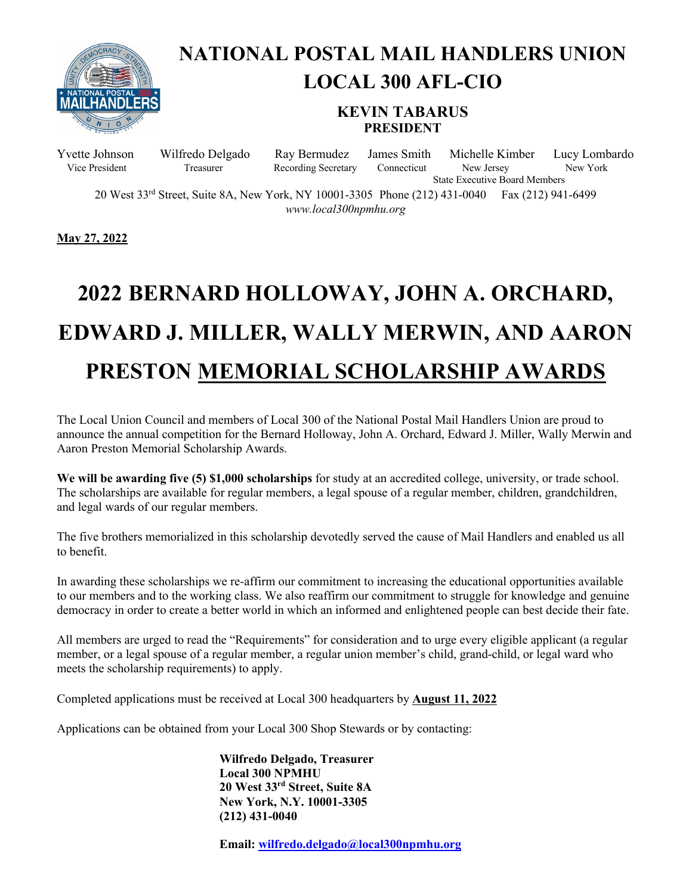

#### **NATIONAL POSTAL MAIL HANDLERS UNION LOCAL 300 AFL-CIO**

#### **KEVIN TABARUS PRESIDENT**

Yvette Johnson Wilfredo Delgado Ray Bermudez James Smith Michelle Kimber Lucy Lombardo Vice President Treasurer Recording Secretary Connecticut New Jersey New York State Executive Board Members

20 West 33<sup>rd</sup> Street, Suite 8A, New York, NY 10001-3305 Phone (212) 431-0040 Fax (212) 941-6499 *www.local300npmhu.org*

**May 27, 2022**

# **2022 BERNARD HOLLOWAY, JOHN A. ORCHARD, EDWARD J. MILLER, WALLY MERWIN, AND AARON PRESTON MEMORIAL SCHOLARSHIP AWARDS**

The Local Union Council and members of Local 300 of the National Postal Mail Handlers Union are proud to announce the annual competition for the Bernard Holloway, John A. Orchard, Edward J. Miller, Wally Merwin and Aaron Preston Memorial Scholarship Awards.

**We will be awarding five (5) \$1,000 scholarships** for study at an accredited college, university, or trade school. The scholarships are available for regular members, a legal spouse of a regular member, children, grandchildren, and legal wards of our regular members.

The five brothers memorialized in this scholarship devotedly served the cause of Mail Handlers and enabled us all to benefit.

In awarding these scholarships we re-affirm our commitment to increasing the educational opportunities available to our members and to the working class. We also reaffirm our commitment to struggle for knowledge and genuine democracy in order to create a better world in which an informed and enlightened people can best decide their fate.

All members are urged to read the "Requirements" for consideration and to urge every eligible applicant (a regular member, or a legal spouse of a regular member, a regular union member's child, grand-child, or legal ward who meets the scholarship requirements) to apply.

Completed applications must be received at Local 300 headquarters by **August 11, 2022**

Applications can be obtained from your Local 300 Shop Stewards or by contacting:

**Wilfredo Delgado, Treasurer Local 300 NPMHU 20 West 33rd Street, Suite 8A New York, N.Y. 10001-3305 (212) 431-0040**

**Email: [wilfredo.delgado@local300npmhu.org](mailto:wilfredo.delgado@local300npmhu.org)**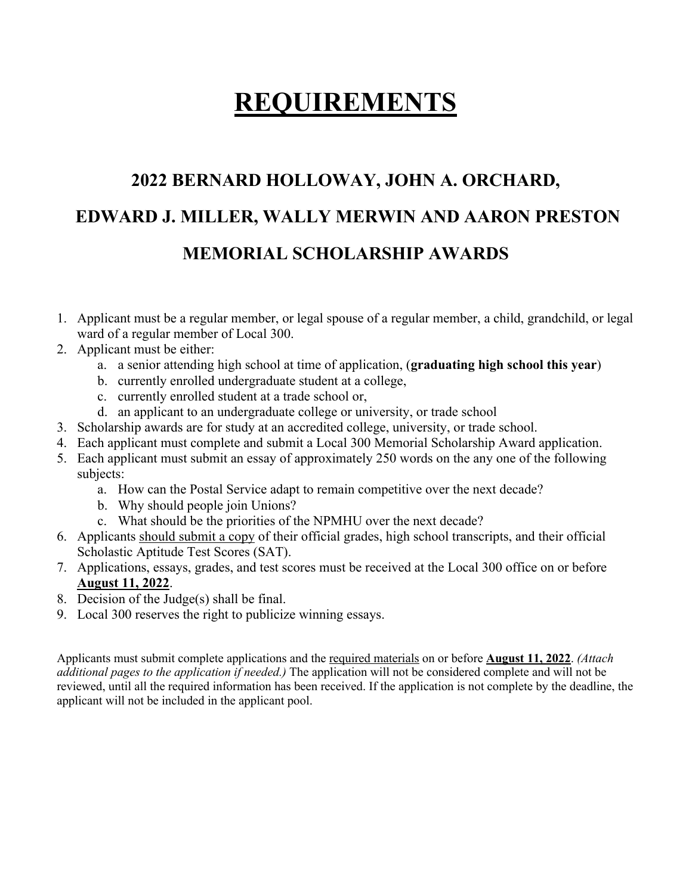### **REQUIREMENTS**

#### **2022 BERNARD HOLLOWAY, JOHN A. ORCHARD, EDWARD J. MILLER, WALLY MERWIN AND AARON PRESTON MEMORIAL SCHOLARSHIP AWARDS**

- 1. Applicant must be a regular member, or legal spouse of a regular member, a child, grandchild, or legal ward of a regular member of Local 300.
- 2. Applicant must be either:
	- a. a senior attending high school at time of application, (**graduating high school this year**)
	- b. currently enrolled undergraduate student at a college,
	- c. currently enrolled student at a trade school or,
	- d. an applicant to an undergraduate college or university, or trade school
- 3. Scholarship awards are for study at an accredited college, university, or trade school.
- 4. Each applicant must complete and submit a Local 300 Memorial Scholarship Award application.
- 5. Each applicant must submit an essay of approximately 250 words on the any one of the following subjects:
	- a. How can the Postal Service adapt to remain competitive over the next decade?
	- b. Why should people join Unions?
	- c. What should be the priorities of the NPMHU over the next decade?
- 6. Applicants should submit a copy of their official grades, high school transcripts, and their official Scholastic Aptitude Test Scores (SAT).
- 7. Applications, essays, grades, and test scores must be received at the Local 300 office on or before **August 11, 2022**.
- 8. Decision of the Judge(s) shall be final.
- 9. Local 300 reserves the right to publicize winning essays.

Applicants must submit complete applications and the required materials on or before **August 11, 2022**. *(Attach additional pages to the application if needed.)* The application will not be considered complete and will not be reviewed, until all the required information has been received. If the application is not complete by the deadline, the applicant will not be included in the applicant pool.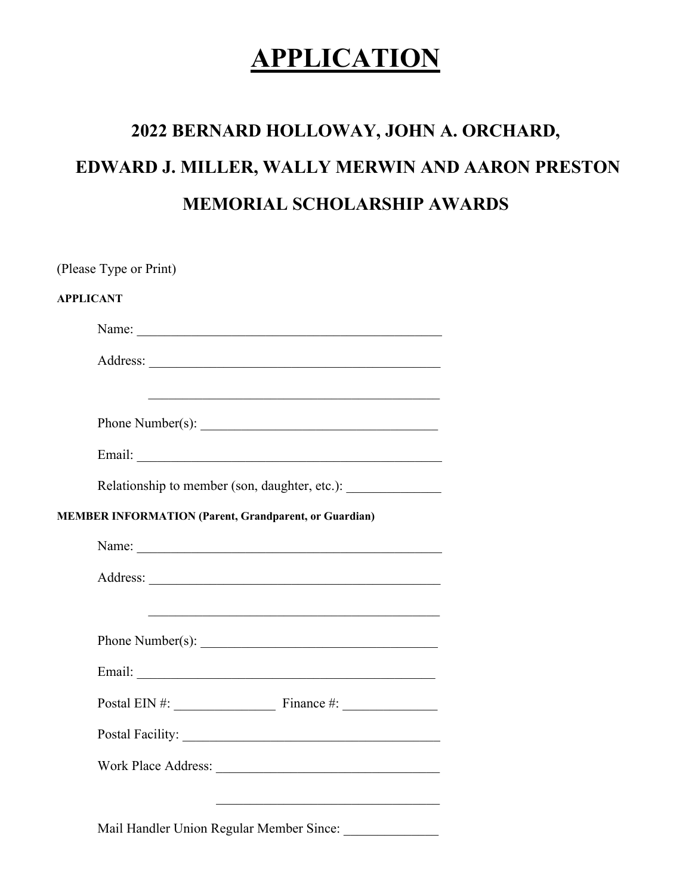### **APPLICATION**

## **2022 BERNARD HOLLOWAY, JOHN A. ORCHARD, EDWARD J. MILLER, WALLY MERWIN AND AARON PRESTON MEMORIAL SCHOLARSHIP AWARDS**

| <b>APPLICANT</b> |                                                                                  |
|------------------|----------------------------------------------------------------------------------|
|                  | Name:                                                                            |
|                  |                                                                                  |
|                  |                                                                                  |
|                  | Phone Number(s):                                                                 |
|                  |                                                                                  |
|                  | Relationship to member (son, daughter, etc.): __________________________________ |
|                  | <b>MEMBER INFORMATION (Parent, Grandparent, or Guardian)</b>                     |
|                  |                                                                                  |
|                  |                                                                                  |
|                  |                                                                                  |
|                  |                                                                                  |
|                  |                                                                                  |
|                  | Postal EIN #: $\qquad \qquad$ Finance #:                                         |
|                  |                                                                                  |
|                  |                                                                                  |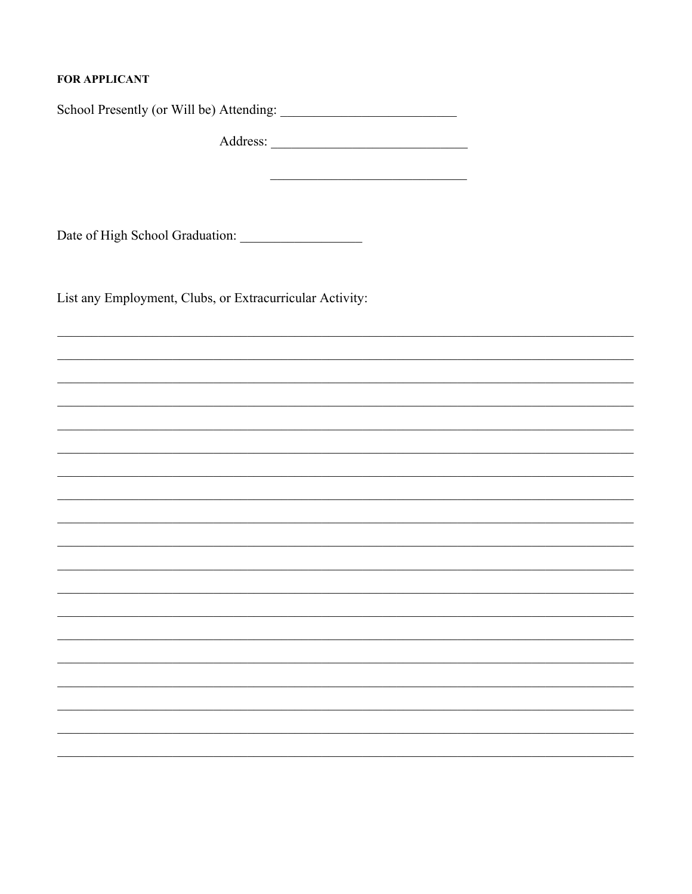#### **FOR APPLICANT**

List any Employment, Clubs, or Extracurricular Activity: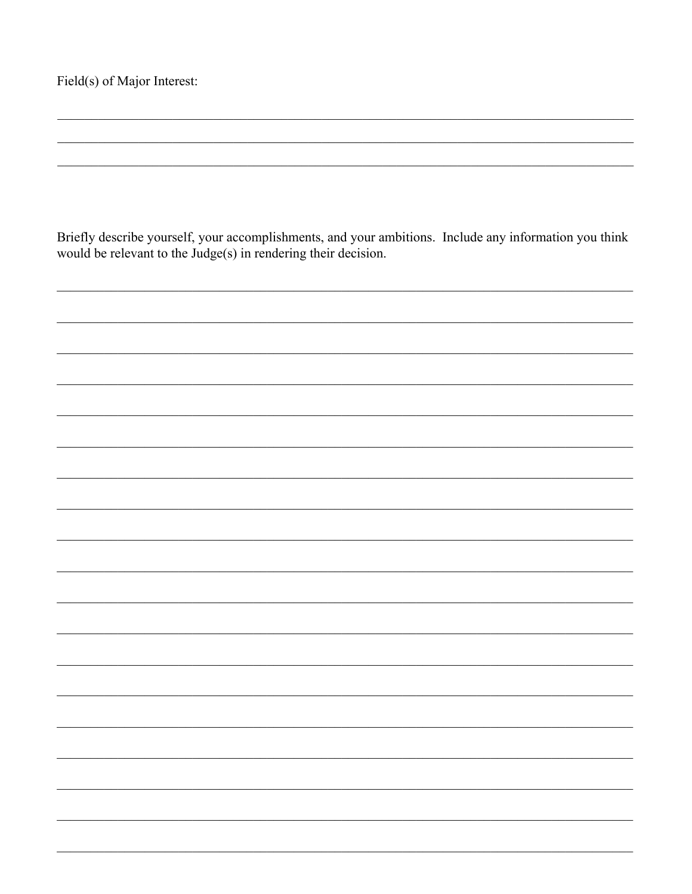Briefly describe yourself, your accomplishments, and your ambitions. Include any information you think would be relevant to the Judge(s) in rendering their decision.